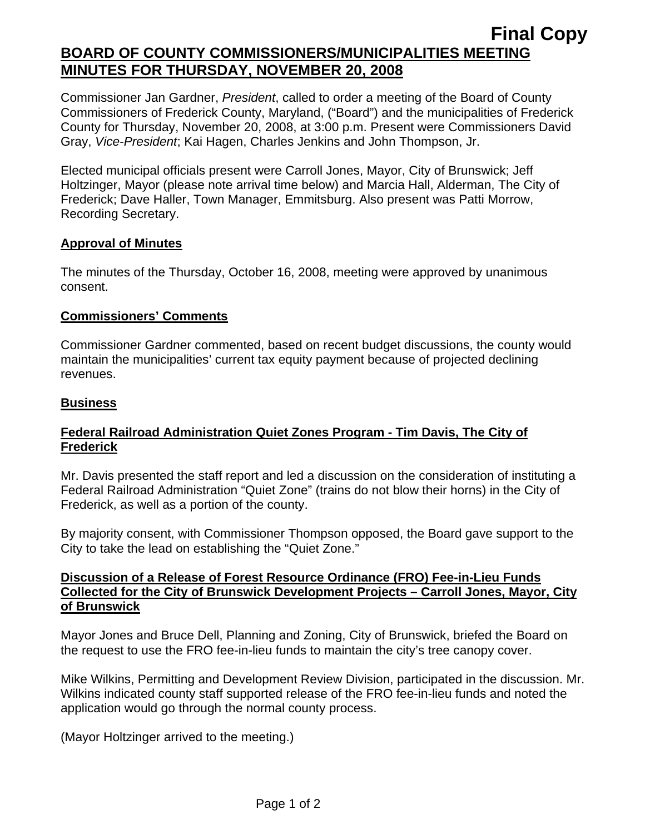## **Final Copy BOARD OF COUNTY COMMISSIONERS/MUNICIPALITIES MEETING MINUTES FOR THURSDAY, NOVEMBER 20, 2008**

Commissioner Jan Gardner, *President*, called to order a meeting of the Board of County Commissioners of Frederick County, Maryland, ("Board") and the municipalities of Frederick County for Thursday, November 20, 2008, at 3:00 p.m. Present were Commissioners David Gray, *Vice-President*; Kai Hagen, Charles Jenkins and John Thompson, Jr.

Elected municipal officials present were Carroll Jones, Mayor, City of Brunswick; Jeff Holtzinger, Mayor (please note arrival time below) and Marcia Hall, Alderman, The City of Frederick; Dave Haller, Town Manager, Emmitsburg. Also present was Patti Morrow, Recording Secretary.

#### **Approval of Minutes**

The minutes of the Thursday, October 16, 2008, meeting were approved by unanimous consent.

#### **Commissioners' Comments**

Commissioner Gardner commented, based on recent budget discussions, the county would maintain the municipalities' current tax equity payment because of projected declining revenues.

#### **Business**

#### **Federal Railroad Administration Quiet Zones Program - Tim Davis, The City of Frederick**

Mr. Davis presented the staff report and led a discussion on the consideration of instituting a Federal Railroad Administration "Quiet Zone" (trains do not blow their horns) in the City of Frederick, as well as a portion of the county.

By majority consent, with Commissioner Thompson opposed, the Board gave support to the City to take the lead on establishing the "Quiet Zone."

#### **Discussion of a Release of Forest Resource Ordinance (FRO) Fee-in-Lieu Funds Collected for the City of Brunswick Development Projects – Carroll Jones, Mayor, City of Brunswick**

Mayor Jones and Bruce Dell, Planning and Zoning, City of Brunswick, briefed the Board on the request to use the FRO fee-in-lieu funds to maintain the city's tree canopy cover.

Mike Wilkins, Permitting and Development Review Division, participated in the discussion. Mr. Wilkins indicated county staff supported release of the FRO fee-in-lieu funds and noted the application would go through the normal county process.

(Mayor Holtzinger arrived to the meeting.)